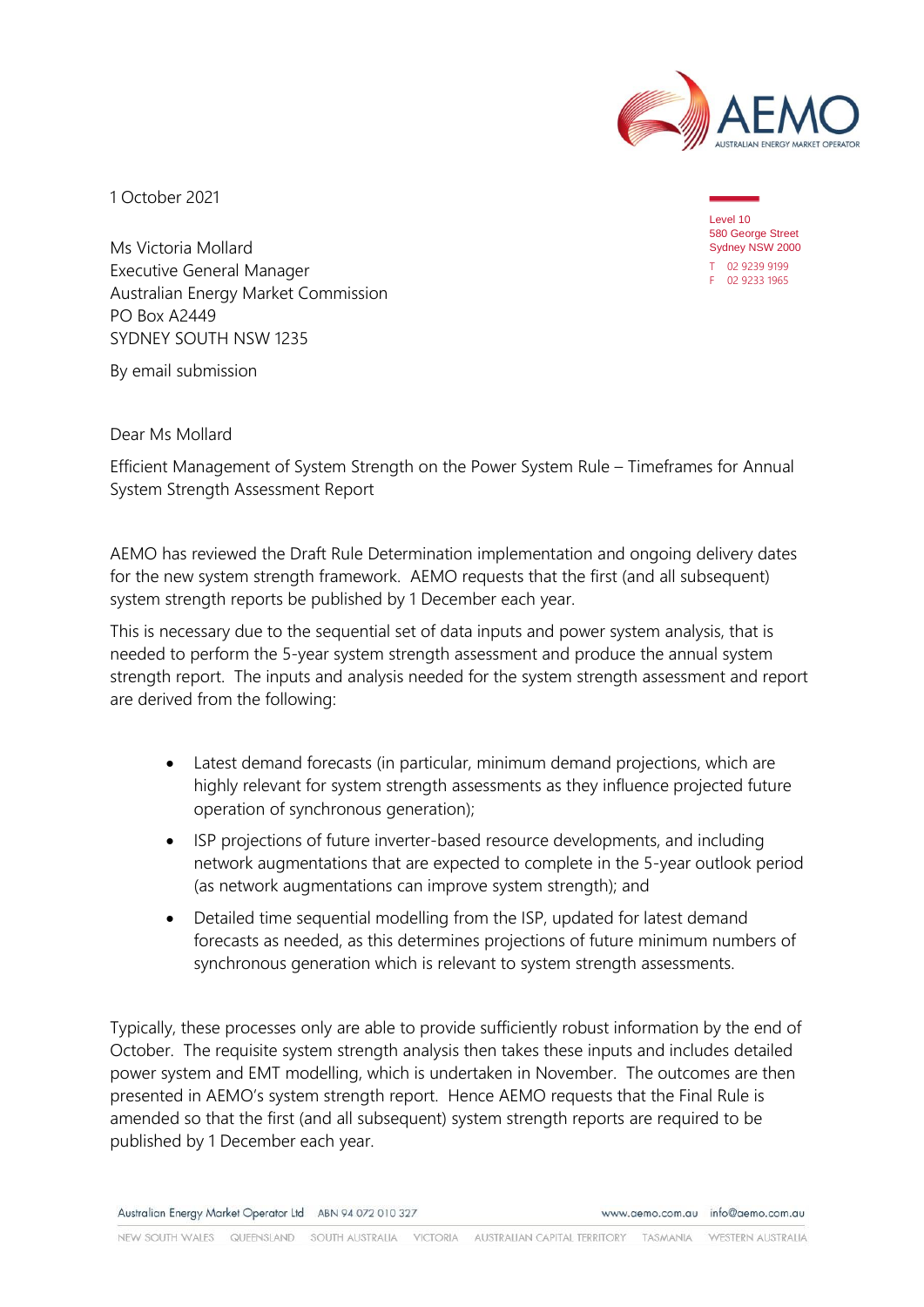

1 October 2021

Level 10 580 George Street Sydney NSW 2000 T 02 9239 9199 F 02 9233 1965

Ms Victoria Mollard Executive General Manager Australian Energy Market Commission PO Box A2449 SYDNEY SOUTH NSW 1235

By email submission

Dear Ms Mollard

Efficient Management of System Strength on the Power System Rule – Timeframes for Annual System Strength Assessment Report

AEMO has reviewed the Draft Rule Determination implementation and ongoing delivery dates for the new system strength framework. AEMO requests that the first (and all subsequent) system strength reports be published by 1 December each year.

This is necessary due to the sequential set of data inputs and power system analysis, that is needed to perform the 5-year system strength assessment and produce the annual system strength report. The inputs and analysis needed for the system strength assessment and report are derived from the following:

- Latest demand forecasts (in particular, minimum demand projections, which are highly relevant for system strength assessments as they influence projected future operation of synchronous generation);
- ISP projections of future inverter-based resource developments, and including network augmentations that are expected to complete in the 5-year outlook period (as network augmentations can improve system strength); and
- Detailed time sequential modelling from the ISP, updated for latest demand forecasts as needed, as this determines projections of future minimum numbers of synchronous generation which is relevant to system strength assessments.

Typically, these processes only are able to provide sufficiently robust information by the end of October. The requisite system strength analysis then takes these inputs and includes detailed power system and EMT modelling, which is undertaken in November. The outcomes are then presented in AEMO's system strength report. Hence AEMO requests that the Final Rule is amended so that the first (and all subsequent) system strength reports are required to be published by 1 December each year.

Australian Energy Market Operator Ltd ABN 94 072 010 327